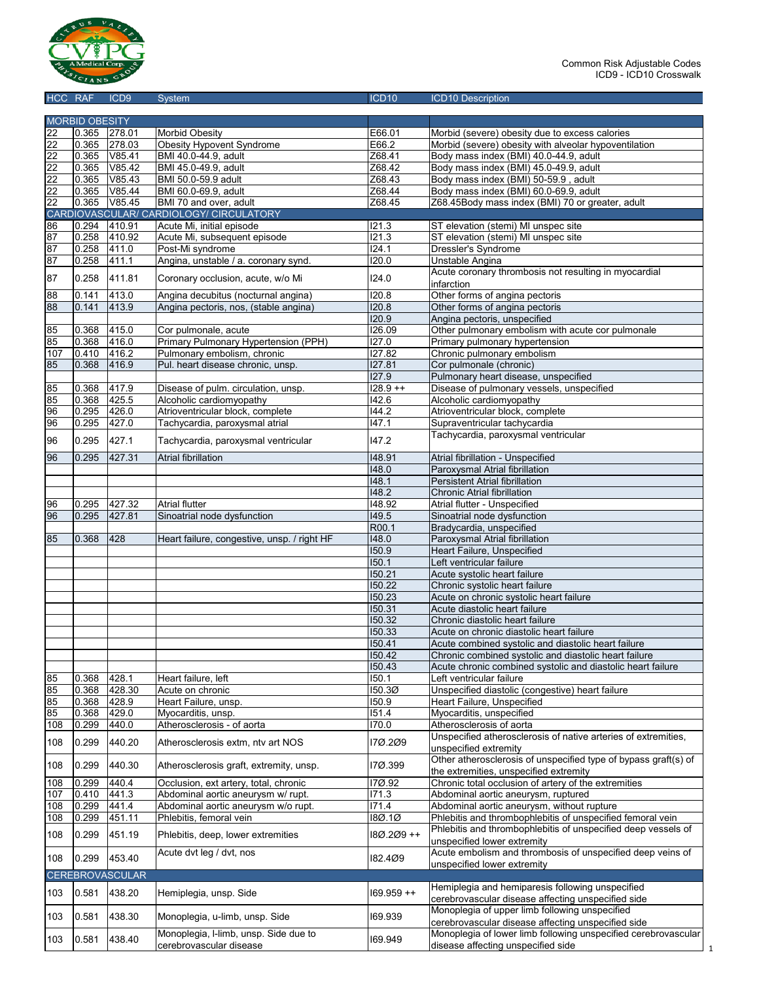

| HCC RAF        |                       | ICD <sub>9</sub>       | System                                                   | ICD <sub>10</sub>   | <b>ICD10 Description</b>                                                                             |
|----------------|-----------------------|------------------------|----------------------------------------------------------|---------------------|------------------------------------------------------------------------------------------------------|
|                |                       |                        |                                                          |                     |                                                                                                      |
|                | <b>MORBID OBESITY</b> |                        |                                                          |                     |                                                                                                      |
| 22             | 0.365                 | 278.01                 | <b>Morbid Obesity</b>                                    | E66.01              | Morbid (severe) obesity due to excess calories                                                       |
| 22<br>22       | 0.365<br>0.365        | 278.03<br>V85.41       | Obesity Hypovent Syndrome<br>BMI 40.0-44.9, adult        | E66.2<br>Z68.41     | Morbid (severe) obesity with alveolar hypoventilation<br>Body mass index (BMI) 40.0-44.9, adult      |
| 22             | 0.365                 | V85.42                 | BMI 45.0-49.9, adult                                     | Z68.42              | Body mass index (BMI) 45.0-49.9, adult                                                               |
| 22             | 0.365                 | V85.43                 | BMI 50.0-59.9 adult                                      | Z68.43              | Body mass index (BMI) 50-59.9, adult                                                                 |
| 22             | 0.365                 | V85.44                 | BMI 60.0-69.9, adult                                     | Z68.44              | Body mass index (BMI) 60.0-69.9, adult                                                               |
| 22             | 0.365                 | V85.45                 | BMI 70 and over, adult                                   | Z68.45              | Z68.45Body mass index (BMI) 70 or greater, adult                                                     |
|                |                       |                        | CARDIOVASCULAR/ CARDIOLOGY/ CIRCULATORY                  |                     |                                                                                                      |
| 86             | 0.294                 | 410.91                 | Acute Mi, initial episode                                | 121.3               | ST elevation (stemi) MI unspec site                                                                  |
| 87             | 0.258                 | 410.92                 | Acute Mi, subsequent episode                             | 121.3               | ST elevation (stemi) MI unspec site                                                                  |
| 87<br>87       | 0.258<br>0.258        | 411.0<br>411.1         | Post-Mi syndrome<br>Angina, unstable / a. coronary synd. | 124.1<br>120.0      | Dressler's Syndrome<br>Unstable Angina                                                               |
|                |                       |                        |                                                          |                     | Acute coronary thrombosis not resulting in myocardial                                                |
| 87             | 0.258                 | 411.81                 | Coronary occlusion, acute, w/o Mi                        | 124.0               | infarction                                                                                           |
| $\overline{8}$ | 0.141                 | 413.0                  | Angina decubitus (nocturnal angina)                      | 120.8               | Other forms of angina pectoris                                                                       |
| 88             | 0.141                 | 413.9                  | Angina pectoris, nos, (stable angina)                    | 120.8               | Other forms of angina pectoris                                                                       |
|                | 0.368                 | 415.0                  | Cor pulmonale, acute                                     | 120.9<br>126.09     | Angina pectoris, unspecified<br>Other pulmonary embolism with acute cor pulmonale                    |
| 85<br>85       | 0.368                 | 416.0                  | Primary Pulmonary Hypertension (PPH)                     | 127.0               | Primary pulmonary hypertension                                                                       |
| 107            | 0.410                 | 416.2                  | Pulmonary embolism, chronic                              | 127.82              | Chronic pulmonary embolism                                                                           |
| 85             | 0.368                 | 416.9                  | Pul. heart disease chronic, unsp.                        | 127.81              | Cor pulmonale (chronic)                                                                              |
|                |                       |                        |                                                          | 127.9               | Pulmonary heart disease, unspecified                                                                 |
| 85             | 0.368                 | 417.9                  | Disease of pulm. circulation, unsp.                      | $128.9 + +$         | Disease of pulmonary vessels, unspecified                                                            |
| 85             | 0.368                 | 425.5                  | Alcoholic cardiomyopathy                                 | 142.6               | Alcoholic cardiomyopathy                                                                             |
| 96             | 0.295                 | 426.0                  | Atrioventricular block, complete                         | 144.2               | Atrioventricular block, complete                                                                     |
| 96             | 0.295                 | 427.0                  | Tachycardia, paroxysmal atrial                           | 147.1               | Supraventricular tachycardia                                                                         |
| 96             | 0.295                 | 427.1                  | Tachycardia, paroxysmal ventricular                      | 147.2               | Tachycardia, paroxysmal ventricular                                                                  |
| 96             | 0.295                 | 427.31                 | Atrial fibrillation                                      | 148.91              | Atrial fibrillation - Unspecified                                                                    |
|                |                       |                        |                                                          | 148.0               | Paroxysmal Atrial fibrillation                                                                       |
|                |                       |                        |                                                          | 148.1               | Persistent Atrial fibrillation                                                                       |
|                |                       |                        |                                                          | 148.2<br>148.92     | Chronic Atrial fibrillation                                                                          |
| 96<br>96       | 0.295<br>0.295        | 427.32<br>427.81       | <b>Atrial flutter</b><br>Sinoatrial node dysfunction     | 149.5               | Atrial flutter - Unspecified<br>Sinoatrial node dysfunction                                          |
|                |                       |                        |                                                          | R00.1               | Bradycardia, unspecified                                                                             |
| 85             | 0.368                 | 428                    | Heart failure, congestive, unsp. / right HF              | 148.0               | Paroxysmal Atrial fibrillation                                                                       |
|                |                       |                        |                                                          | 150.9               | Heart Failure, Unspecified                                                                           |
|                |                       |                        |                                                          | 150.1               | Left ventricular failure                                                                             |
|                |                       |                        |                                                          | 150.21              | Acute systolic heart failure                                                                         |
|                |                       |                        |                                                          | 150.22              | Chronic systolic heart failure                                                                       |
|                |                       |                        |                                                          | 150.23<br>150.31    | Acute on chronic systolic heart failure                                                              |
|                |                       |                        |                                                          | 150.32              | Acute diastolic heart failure<br>Chronic diastolic heart failure                                     |
|                |                       |                        |                                                          | 150.33              | Acute on chronic diastolic heart failure                                                             |
|                |                       |                        |                                                          | 150.41              | Acute combined systolic and diastolic heart failure                                                  |
|                |                       |                        |                                                          | 150.42              | Chronic combined systolic and diastolic heart failure                                                |
|                |                       |                        |                                                          | 150.43              | Acute chronic combined systolic and diastolic heart failure                                          |
| 85             | 0.368                 | 428.1                  | Heart failure, left                                      | 150.1               | Left ventricular failure                                                                             |
| 85             | 0.368                 | 428.30                 | Acute on chronic                                         | 150.3 <sub>Ø</sub>  | Unspecified diastolic (congestive) heart failure                                                     |
| 85             | 0.368                 | 428.9                  | Heart Failure, unsp.                                     | 150.9               | Heart Failure, Unspecified                                                                           |
| 85             | 0.368                 | 429.0                  | Myocarditis, unsp.                                       | 151.4               | Myocarditis, unspecified                                                                             |
| 108            | 0.299                 | 440.0                  | Atherosclerosis - of aorta                               | 170.0               | Atherosclerosis of aorta<br>Unspecified atherosclerosis of native arteries of extremities,           |
| 108            | 0.299                 | 440.20                 | Atherosclerosis extm, ntv art NOS                        | 17Ø.2Ø9             | unspecified extremity                                                                                |
| 108            | 0.299                 | 440.30                 | Atherosclerosis graft, extremity, unsp.                  | 17Ø.399             | Other atherosclerosis of unspecified type of bypass graft(s) of                                      |
| 108            | 0.299                 | 440.4                  | Occlusion, ext artery, total, chronic                    | 17Ø.92              | the extremities, unspecified extremity<br>Chronic total occlusion of artery of the extremities       |
| 107            | 0.410                 | 441.3                  | Abdominal aortic aneurysm w/ rupt.                       | I71.3               | Abdominal aortic aneurysm, ruptured                                                                  |
| 108            | 0.299                 | 441.4                  | Abdominal aortic aneurysm w/o rupt.                      | 171.4               | Abdominal aortic aneurysm, without rupture                                                           |
| 108            | 0.299                 | 451.11                 | Phlebitis, femoral vein                                  | $\overline{180.10}$ | Phlebitis and thrombophlebitis of unspecified femoral vein                                           |
| 108            | 0.299                 | 451.19                 | Phlebitis, deep, lower extremities                       | 180.209++           | Phlebitis and thrombophlebitis of unspecified deep vessels of<br>unspecified lower extremity         |
|                | 0.299                 | 453.40                 | Acute dvt leg / dvt, nos                                 | 182.409             | Acute embolism and thrombosis of unspecified deep veins of                                           |
| 108            |                       | <b>CEREBROVASCULAR</b> |                                                          |                     | unspecified lower extremity                                                                          |
|                |                       |                        |                                                          |                     | Hemiplegia and hemiparesis following unspecified                                                     |
| 103            | 0.581                 | 438.20                 | Hemiplegia, unsp. Side                                   | $169.959 + +$       | cerebrovascular disease affecting unspecified side                                                   |
| 103            | 0.581                 | 438.30                 | Monoplegia, u-limb, unsp. Side                           | 169.939             | Monoplegia of upper limb following unspecified<br>cerebrovascular disease affecting unspecified side |
| 103            | 0.581                 | 438.40                 | Monoplegia, I-limb, unsp. Side due to                    | 169.949             | Monoplegia of lower limb following unspecified cerebrovascular                                       |
|                |                       |                        | cerebrovascular disease                                  |                     | disease affecting unspecified side                                                                   |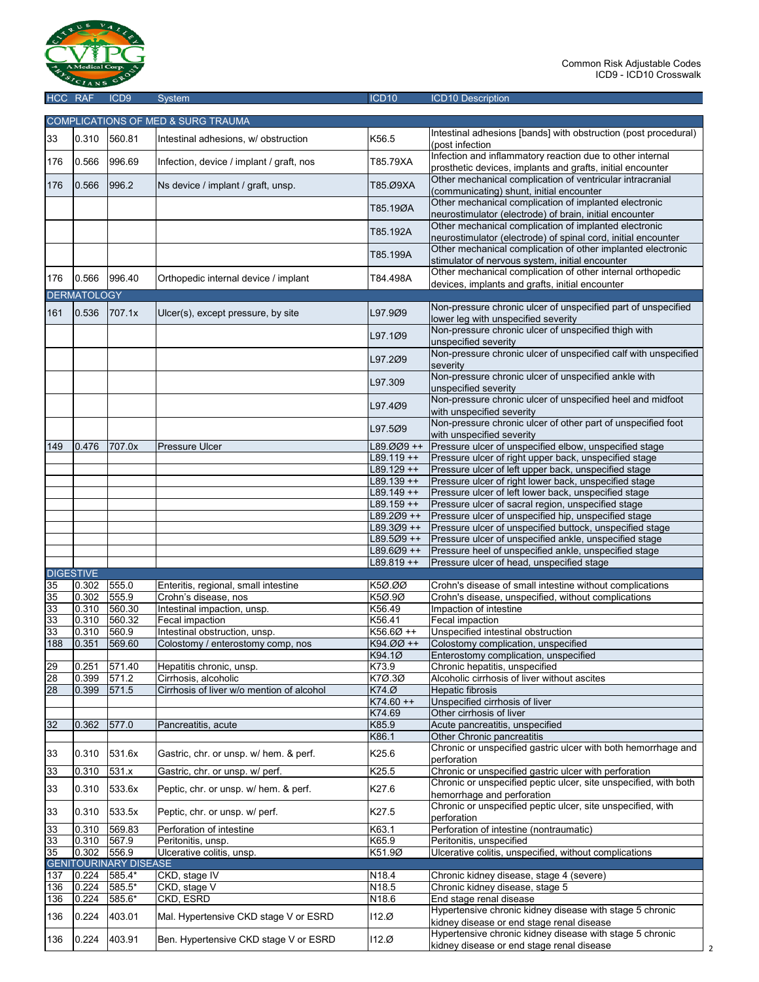

|     | $100$ $101$        | טשטו                                  | $O$ yotu $H$                              |               | <b>IOD TO DUSCIPION</b>                                          |
|-----|--------------------|---------------------------------------|-------------------------------------------|---------------|------------------------------------------------------------------|
|     |                    |                                       | COMPLICATIONS OF MED & SURG TRAUMA        |               |                                                                  |
|     |                    |                                       |                                           |               | Intestinal adhesions [bands] with obstruction (post procedural)  |
| 33  | 0.310              | 560.81                                | Intestinal adhesions, w/ obstruction      | K56.5         |                                                                  |
|     |                    |                                       |                                           |               | (post infection                                                  |
| 176 | 0.566              | 996.69                                | Infection, device / implant / graft, nos  | T85.79XA      | Infection and inflammatory reaction due to other internal        |
|     |                    |                                       |                                           |               | prosthetic devices, implants and grafts, initial encounter       |
| 176 | 0.566              | 996.2                                 | Ns device / implant / graft, unsp.        | T85.Ø9XA      | Other mechanical complication of ventricular intracranial        |
|     |                    |                                       |                                           |               | (communicating) shunt, initial encounter                         |
|     |                    |                                       |                                           | T85.19ØA      | Other mechanical complication of implanted electronic            |
|     |                    |                                       |                                           |               | neurostimulator (electrode) of brain, initial encounter          |
|     |                    |                                       |                                           | T85.192A      | Other mechanical complication of implanted electronic            |
|     |                    |                                       |                                           |               | neurostimulator (electrode) of spinal cord, initial encounter    |
|     |                    |                                       |                                           |               | Other mechanical complication of other implanted electronic      |
|     |                    |                                       |                                           | T85.199A      | stimulator of nervous system, initial encounter                  |
|     |                    |                                       |                                           |               | Other mechanical complication of other internal orthopedic       |
| 176 | 0.566              | 996.40                                | Orthopedic internal device / implant      | T84.498A      | devices, implants and grafts, initial encounter                  |
|     | <b>DERMATOLOGY</b> |                                       |                                           |               |                                                                  |
|     |                    |                                       |                                           |               | Non-pressure chronic ulcer of unspecified part of unspecified    |
| 161 | 0.536              | 707.1x                                | Ulcer(s), except pressure, by site        | L97.9Ø9       | lower leg with unspecified severity                              |
|     |                    |                                       |                                           |               | Non-pressure chronic ulcer of unspecified thigh with             |
|     |                    |                                       |                                           | L97.1Ø9       |                                                                  |
|     |                    |                                       |                                           |               | unspecified severity                                             |
|     |                    |                                       |                                           | L97.2Ø9       | Non-pressure chronic ulcer of unspecified calf with unspecified  |
|     |                    |                                       |                                           |               | severity                                                         |
|     |                    |                                       |                                           | L97.309       | Non-pressure chronic ulcer of unspecified ankle with             |
|     |                    |                                       |                                           |               | unspecified severity                                             |
|     |                    |                                       |                                           | L97.4Ø9       | Non-pressure chronic ulcer of unspecified heel and midfoot       |
|     |                    |                                       |                                           |               | with unspecified severity                                        |
|     |                    |                                       |                                           |               | Non-pressure chronic ulcer of other part of unspecified foot     |
|     |                    |                                       |                                           | L97.5Ø9       | with unspecified severity                                        |
| 149 | 0.476              | 707.0x                                | <b>Pressure Ulcer</b>                     | L89.ØØ9 ++    | Pressure ulcer of unspecified elbow, unspecified stage           |
|     |                    |                                       |                                           | $L89.119++$   | Pressure ulcer of right upper back, unspecified stage            |
|     |                    |                                       |                                           | $L89.129 + +$ | Pressure ulcer of left upper back, unspecified stage             |
|     |                    |                                       |                                           | L89.139 ++    | Pressure ulcer of right lower back, unspecified stage            |
|     |                    |                                       |                                           | $L89.149++$   | Pressure ulcer of left lower back, unspecified stage             |
|     |                    |                                       |                                           | $L89.159++$   | Pressure ulcer of sacral region, unspecified stage               |
|     |                    |                                       |                                           | L89.2Ø9 ++    | Pressure ulcer of unspecified hip, unspecified stage             |
|     |                    |                                       |                                           |               |                                                                  |
|     |                    |                                       |                                           | L89.3Ø9 ++    | Pressure ulcer of unspecified buttock, unspecified stage         |
|     |                    |                                       |                                           | L89.5Ø9 ++    | Pressure ulcer of unspecified ankle, unspecified stage           |
|     |                    |                                       |                                           | L89.6Ø9++     | Pressure heel of unspecified ankle, unspecified stage            |
|     |                    |                                       |                                           | L89.819 ++    | Pressure ulcer of head, unspecified stage                        |
|     | <b>DIGESTIVE</b>   |                                       |                                           |               |                                                                  |
| 35  | 0.302              | 555.0                                 | Enteritis, regional, small intestine      | K5Ø.ØØ        | Crohn's disease of small intestine without complications         |
| 35  | 0.302              | 555.9                                 | Crohn's disease, nos                      | K5Ø.9Ø        | Crohn's disease, unspecified, without complications              |
| 33  | 0.310              | 560.30                                | Intestinal impaction, unsp.               | K56.49        | Impaction of intestine                                           |
| 33  | 0.310              | 560.32                                | Fecal impaction                           | K56.41        | Fecal impaction                                                  |
| 33  | 0.310              | 560.9                                 | Intestinal obstruction, unsp.             | K56.6Ø ++     | Unspecified intestinal obstruction                               |
| 188 | 0.351              | 569.60                                | Colostomy / enterostomy comp, nos         | K94.ØØ ++     | Colostomy complication, unspecified                              |
|     |                    |                                       |                                           | K94.1Ø        | Enterostomy complication, unspecified                            |
| 29  | 0.251              | 571.40                                | Hepatitis chronic, unsp.                  | K73.9         | Chronic hepatitis, unspecified                                   |
| 28  | 0.399              | 571.2                                 | Cirrhosis, alcoholic                      | K7Ø.3Ø        | Alcoholic cirrhosis of liver without ascites                     |
| 28  | 0.399              | 571.5                                 | Cirrhosis of liver w/o mention of alcohol | K74.Ø         | Hepatic fibrosis                                                 |
|     |                    |                                       |                                           | $K74.60 + +$  |                                                                  |
|     |                    |                                       |                                           |               | Unspecified cirrhosis of liver<br>Other cirrhosis of liver       |
|     |                    |                                       |                                           | K74.69        |                                                                  |
| 32  | 0.362              | 577.0                                 | Pancreatitis, acute                       | K85.9         | Acute pancreatitis, unspecified                                  |
|     |                    |                                       |                                           | K86.1         | Other Chronic pancreatitis                                       |
| 33  | 0.310              | 531.6x                                | Gastric, chr. or unsp. w/ hem. & perf.    | K25.6         | Chronic or unspecified gastric ulcer with both hemorrhage and    |
|     |                    |                                       |                                           |               | perforation                                                      |
| 33  | 0.310              | 531.x                                 | Gastric, chr. or unsp. w/ perf.           | K25.5         | Chronic or unspecified gastric ulcer with perforation            |
|     |                    |                                       |                                           |               | Chronic or unspecified peptic ulcer, site unspecified, with both |
| 33  | 0.310              | 533.6x                                | Peptic, chr. or unsp. w/ hem. & perf.     | K27.6         | hemorrhage and perforation                                       |
|     |                    |                                       |                                           |               | Chronic or unspecified peptic ulcer, site unspecified, with      |
| 33  | 0.310              | 533.5x                                | Peptic, chr. or unsp. w/ perf.            | K27.5         | perforation                                                      |
| 33  | 0.310              | 569.83                                | Perforation of intestine                  | K63.1         | Perforation of intestine (nontraumatic)                          |
| 33  | 0.310              | 567.9                                 | Peritonitis, unsp.                        | K65.9         | Peritonitis, unspecified                                         |
| 35  | 0.302              |                                       |                                           |               |                                                                  |
|     |                    | 556.9<br><b>GENITOURINARY DISEASE</b> | Ulcerative colitis, unsp.                 | K51.9Ø        | Ulcerative colitis, unspecified, without complications           |
|     |                    |                                       |                                           |               |                                                                  |
| 137 | 0.224              | 585.4*                                | CKD, stage IV                             | N18.4         | Chronic kidney disease, stage 4 (severe)                         |
| 136 | 0.224              | 585.5*                                | CKD, stage V                              | N18.5         | Chronic kidney disease, stage 5                                  |
| 136 | 0.224              | 585.6*                                | CKD, ESRD                                 | N18.6         | End stage renal disease                                          |
| 136 | 0.224              | 403.01                                | Mal. Hypertensive CKD stage V or ESRD     | 112.Ø         | Hypertensive chronic kidney disease with stage 5 chronic         |
|     |                    |                                       |                                           |               | kidney disease or end stage renal disease                        |
| 136 | 0.224              | 403.91                                | Ben. Hypertensive CKD stage V or ESRD     | 112.Ø         | Hypertensive chronic kidney disease with stage 5 chronic         |
|     |                    |                                       |                                           |               | kidney disease or end stage renal disease                        |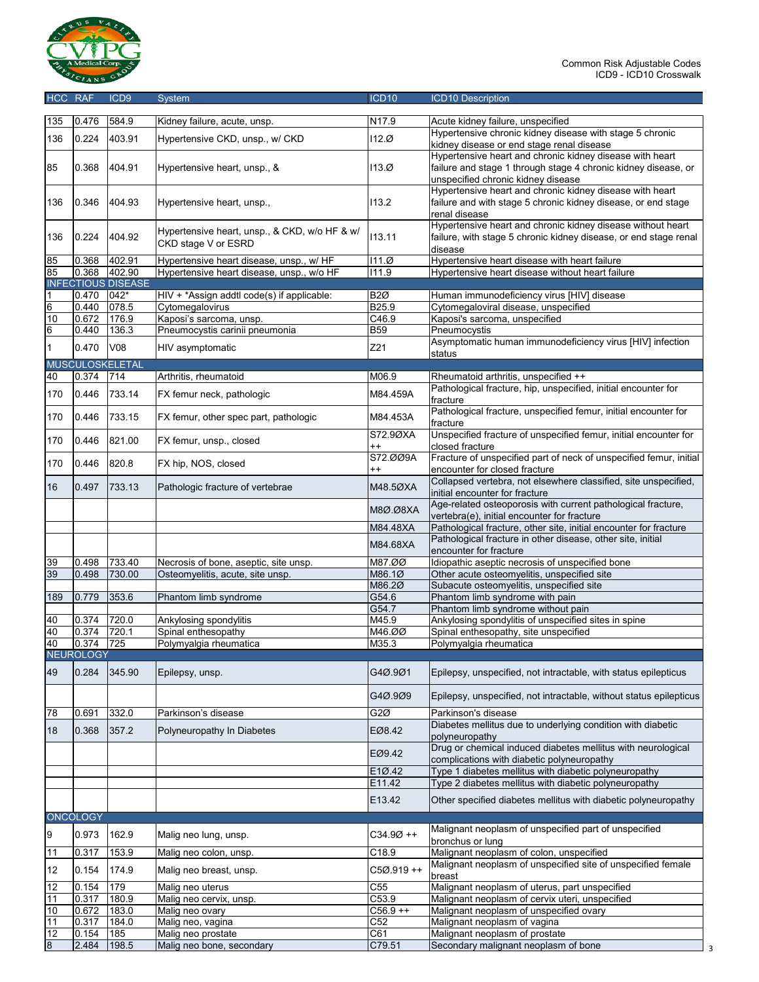

| HCC RAF |                  | ICD <sub>9</sub>          | <b>System</b>                                                        | ICD <sub>10</sub>                | <b>ICD10 Description</b>                                                                                                                                         |
|---------|------------------|---------------------------|----------------------------------------------------------------------|----------------------------------|------------------------------------------------------------------------------------------------------------------------------------------------------------------|
| 135     | 0.476            | 584.9                     | Kidney failure, acute, unsp.                                         | N17.9                            | Acute kidney failure, unspecified                                                                                                                                |
|         |                  |                           |                                                                      |                                  | Hypertensive chronic kidney disease with stage 5 chronic                                                                                                         |
| 136     | 0.224            | 403.91                    | Hypertensive CKD, unsp., w/ CKD                                      | 112.Ø                            | kidney disease or end stage renal disease                                                                                                                        |
| 85      | 0.368            | 404.91                    | Hypertensive heart, unsp., &                                         | 113.Ø                            | Hypertensive heart and chronic kidney disease with heart<br>failure and stage 1 through stage 4 chronic kidney disease, or<br>unspecified chronic kidney disease |
| 136     | 0.346            | 404.93                    | Hypertensive heart, unsp.,                                           | 113.2                            | Hypertensive heart and chronic kidney disease with heart<br>failure and with stage 5 chronic kidney disease, or end stage<br>renal disease                       |
| 136     | 0.224            | 404.92                    | Hypertensive heart, unsp., & CKD, w/o HF & w/<br>CKD stage V or ESRD | 113.11                           | Hypertensive heart and chronic kidney disease without heart<br>failure, with stage 5 chronic kidney disease, or end stage renal<br>disease                       |
| 85      | 0.368            | 402.91                    | Hypertensive heart disease, unsp., w/ HF                             | 111.0                            | Hypertensive heart disease with heart failure                                                                                                                    |
| 85      | 0.368            | 402.90                    | Hypertensive heart disease, unsp., w/o HF                            | 111.9                            | Hypertensive heart disease without heart failure                                                                                                                 |
|         |                  | <b>INFECTIOUS DISEASE</b> |                                                                      |                                  |                                                                                                                                                                  |
| 1       | 0.470            | 042*                      | HIV + *Assign addtl code(s) if applicable:                           | <b>B2Ø</b>                       | Human immunodeficiency virus [HIV] disease                                                                                                                       |
| 6       | 0.440            | 078.5                     | Cytomegalovirus                                                      | B <sub>25.9</sub>                | Cytomegaloviral disease, unspecified                                                                                                                             |
| 10      | 0.672            | 176.9                     | Kaposi's sarcoma, unsp.<br>Pneumocystis carinii pneumonia            | $\overline{C46.9}$<br><b>B59</b> | Kaposi's sarcoma, unspecified                                                                                                                                    |
| 6       | 0.440            | 136.3                     |                                                                      |                                  | Pneumocystis<br>Asymptomatic human immunodeficiency virus [HIV] infection                                                                                        |
| 1       | 0.470            | V08                       | HIV asymptomatic                                                     | Z21                              | status                                                                                                                                                           |
|         |                  | <b>MUSCULOSKELETAL</b>    |                                                                      |                                  |                                                                                                                                                                  |
| 40      | 0.374            | 714                       | Arthritis, rheumatoid                                                | M06.9                            | Rheumatoid arthritis, unspecified ++                                                                                                                             |
| 170     | 0.446            | 733.14                    | FX femur neck, pathologic                                            | M84.459A                         | Pathological fracture, hip, unspecified, initial encounter for<br>fracture                                                                                       |
| 170     | 0.446            | 733.15                    | FX femur, other spec part, pathologic                                | M84.453A                         | Pathological fracture, unspecified femur, initial encounter for<br>fracture                                                                                      |
| 170     | 0.446            | 821.00                    | FX femur, unsp., closed                                              | S72.9ØXA<br>$^{++}$              | Unspecified fracture of unspecified femur, initial encounter for<br>closed fracture                                                                              |
| 170     | 0.446            | 820.8                     | FX hip, NOS, closed                                                  | S72.009A<br>$^{++}$              | Fracture of unspecified part of neck of unspecified femur, initial<br>encounter for closed fracture                                                              |
| 16      | 0.497            | 733.13                    | Pathologic fracture of vertebrae                                     | M48.5ØXA                         | Collapsed vertebra, not elsewhere classified, site unspecified,<br>initial encounter for fracture                                                                |
|         |                  |                           |                                                                      | M8Ø.Ø8XA                         | Age-related osteoporosis with current pathological fracture,<br>vertebra(e), initial encounter for fracture                                                      |
|         |                  |                           |                                                                      | M84.48XA                         | Pathological fracture, other site, initial encounter for fracture                                                                                                |
|         |                  |                           |                                                                      | M84.68XA                         | Pathological fracture in other disease, other site, initial<br>encounter for fracture                                                                            |
| 39      | 0.498            | 733.40                    | Necrosis of bone, aseptic, site unsp.                                | M87.ØØ                           | Idiopathic aseptic necrosis of unspecified bone                                                                                                                  |
| 39      | 0.498            | 730.00                    | Osteomyelitis, acute, site unsp.                                     | M86.1Ø                           | Other acute osteomyelitis, unspecified site                                                                                                                      |
|         |                  | 353.6                     |                                                                      | M86.2Ø<br>G54.6                  | Subacute osteomyelitis, unspecified site<br>Phantom limb syndrome with pain                                                                                      |
| 189     | 0.779            |                           | Phantom limb syndrome                                                | G54.7                            | Phantom limb syndrome without pain                                                                                                                               |
| 40      | 0.374            | 720.0                     | Ankylosing spondylitis                                               | M45.9                            | Ankylosing spondylitis of unspecified sites in spine                                                                                                             |
| 40      | 0.374            | 720.1                     | Spinal enthesopathy                                                  | M46.ØØ                           | Spinal enthesopathy, site unspecified                                                                                                                            |
| 40      | 0.374            | 725                       | Polymyalgia rheumatica                                               | M35.3                            | Polymyalgia rheumatica                                                                                                                                           |
|         | <b>NEUROLOGY</b> |                           |                                                                      |                                  |                                                                                                                                                                  |
| 49      | 0.284            | 345.90                    | Epilepsy, unsp.                                                      | G4Ø.9Ø1                          | Epilepsy, unspecified, not intractable, with status epilepticus                                                                                                  |
|         |                  |                           |                                                                      | G4Ø.9Ø9                          | Epilepsy, unspecified, not intractable, without status epilepticus                                                                                               |
| 78      | 0.691            | 332.0                     | Parkinson's disease                                                  | G <sub>2</sub> Ø                 | Parkinson's disease                                                                                                                                              |
| 18      | 0.368            | 357.2                     | Polyneuropathy In Diabetes                                           | EØ8.42                           | Diabetes mellitus due to underlying condition with diabetic<br>polyneuropathy                                                                                    |
|         |                  |                           |                                                                      | EØ9.42                           | Drug or chemical induced diabetes mellitus with neurological<br>complications with diabetic polyneuropathy                                                       |
|         |                  |                           |                                                                      | E1Ø.42                           | Type 1 diabetes mellitus with diabetic polyneuropathy                                                                                                            |
|         |                  |                           |                                                                      | E11.42<br>E13.42                 | Type 2 diabetes mellitus with diabetic polyneuropathy<br>Other specified diabetes mellitus with diabetic polyneuropathy                                          |
|         | <b>ONCOLOGY</b>  |                           |                                                                      |                                  |                                                                                                                                                                  |
|         |                  |                           |                                                                      |                                  | Malignant neoplasm of unspecified part of unspecified                                                                                                            |
| 9       | 0.973            | 162.9                     | Malig neo lung, unsp.                                                | $C34.9Ø ++$                      | bronchus or lung                                                                                                                                                 |
| 11      | 0.317            | 153.9                     | Malig neo colon, unsp.                                               | C18.9                            | Malignant neoplasm of colon, unspecified                                                                                                                         |
| 12      | 0.154            | 174.9                     | Malig neo breast, unsp.                                              | C5Ø.919++                        | Malignant neoplasm of unspecified site of unspecified female<br>breast                                                                                           |
| 12      | 0.154            | 179                       | Malig neo uterus                                                     | C <sub>55</sub>                  | Malignant neoplasm of uterus, part unspecified                                                                                                                   |
| 11      | 0.317            | 180.9                     | Malig neo cervix, unsp.                                              | C53.9                            | Malignant neoplasm of cervix uteri, unspecified                                                                                                                  |
| 10      | 0.672            | 183.0                     | Malig neo ovary                                                      | $C56.9++$                        | Malignant neoplasm of unspecified ovary                                                                                                                          |
| 11      | 0.317            | 184.0                     | Malig neo, vagina                                                    | C52                              | Malignant neoplasm of vagina                                                                                                                                     |
| 12      | 0.154            | 185                       | Malig neo prostate                                                   | C61                              | Malignant neoplasm of prostate                                                                                                                                   |

8 12.484 198.5 Malig neo bone, secondary 1988 C79.51 Secondary malignant neoplasm of bone